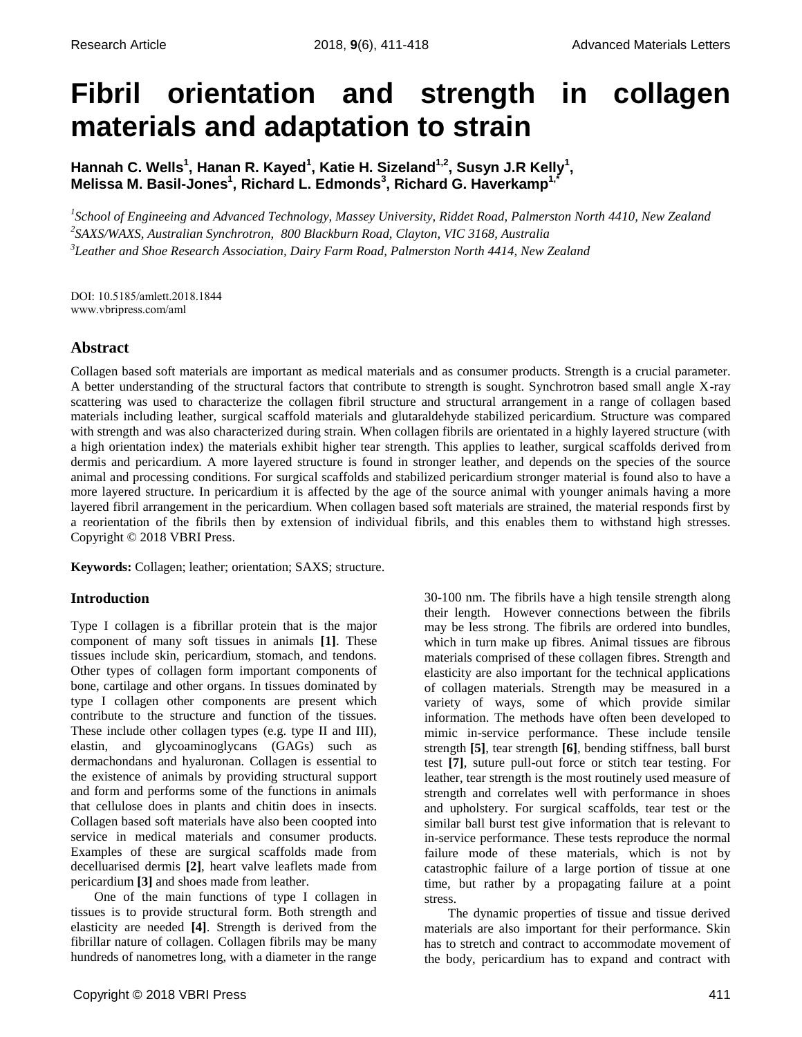# **Fibril orientation and strength in collagen materials and adaptation to strain**

**Hannah C. Wells<sup>1</sup> , Hanan R. Kayed<sup>1</sup> , Katie H. Sizeland1,2 , Susyn J.R Kelly<sup>1</sup> , Melissa M. Basil-Jones<sup>1</sup> , Richard L. Edmonds<sup>3</sup> , Richard G. Haverkamp1,\***

*1 School of Engineeing and Advanced Technology, Massey University, Riddet Road, Palmerston North 4410, New Zealand 2 SAXS/WAXS, Australian Synchrotron, 800 Blackburn Road, Clayton, VIC 3168, Australia 3 Leather and Shoe Research Association, Dairy Farm Road, Palmerston North 4414, New Zealand*

DOI: 10.5185/amlett.2018.1844 www.vbripress.com/aml

## **Abstract**

Collagen based soft materials are important as medical materials and as consumer products. Strength is a crucial parameter. A better understanding of the structural factors that contribute to strength is sought. Synchrotron based small angle X-ray scattering was used to characterize the collagen fibril structure and structural arrangement in a range of collagen based materials including leather, surgical scaffold materials and glutaraldehyde stabilized pericardium. Structure was compared with strength and was also characterized during strain. When collagen fibrils are orientated in a highly layered structure (with a high orientation index) the materials exhibit higher tear strength. This applies to leather, surgical scaffolds derived from dermis and pericardium. A more layered structure is found in stronger leather, and depends on the species of the source animal and processing conditions. For surgical scaffolds and stabilized pericardium stronger material is found also to have a more layered structure. In pericardium it is affected by the age of the source animal with younger animals having a more layered fibril arrangement in the pericardium. When collagen based soft materials are strained, the material responds first by a reorientation of the fibrils then by extension of individual fibrils, and this enables them to withstand high stresses. Copyright © 2018 VBRI Press.

**Keywords:** Collagen; leather; orientation; SAXS; structure.

## **Introduction**

Type I collagen is a fibrillar protein that is the major component of many soft tissues in animals **[1]**. These tissues include skin, pericardium, stomach, and tendons. Other types of collagen form important components of bone, cartilage and other organs. In tissues dominated by type I collagen other components are present which contribute to the structure and function of the tissues. These include other collagen types (e.g. type II and III), elastin, and glycoaminoglycans (GAGs) such as dermachondans and hyaluronan. Collagen is essential to the existence of animals by providing structural support and form and performs some of the functions in animals that cellulose does in plants and chitin does in insects. Collagen based soft materials have also been coopted into service in medical materials and consumer products. Examples of these are surgical scaffolds made from decelluarised dermis **[2]**, heart valve leaflets made from pericardium **[3]** and shoes made from leather.

One of the main functions of type I collagen in tissues is to provide structural form. Both strength and elasticity are needed **[4]**. Strength is derived from the fibrillar nature of collagen. Collagen fibrils may be many hundreds of nanometres long, with a diameter in the range

30-100 nm. The fibrils have a high tensile strength along their length. However connections between the fibrils may be less strong. The fibrils are ordered into bundles, which in turn make up fibres. Animal tissues are fibrous materials comprised of these collagen fibres. Strength and elasticity are also important for the technical applications of collagen materials. Strength may be measured in a variety of ways, some of which provide similar information. The methods have often been developed to mimic in-service performance. These include tensile strength **[5]**, tear strength **[6]**, bending stiffness, ball burst test **[7]**, suture pull-out force or stitch tear testing. For leather, tear strength is the most routinely used measure of strength and correlates well with performance in shoes and upholstery. For surgical scaffolds, tear test or the similar ball burst test give information that is relevant to in-service performance. These tests reproduce the normal failure mode of these materials, which is not by catastrophic failure of a large portion of tissue at one time, but rather by a propagating failure at a point stress.

The dynamic properties of tissue and tissue derived materials are also important for their performance. Skin has to stretch and contract to accommodate movement of the body, pericardium has to expand and contract with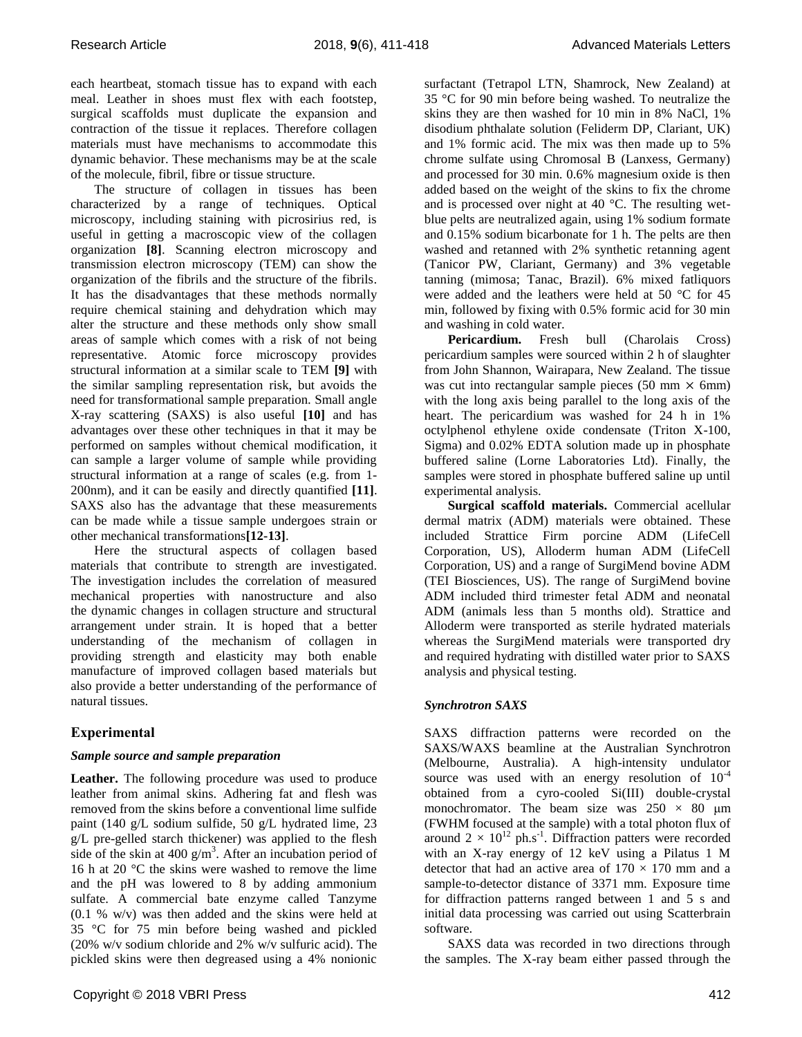each heartbeat, stomach tissue has to expand with each meal. Leather in shoes must flex with each footstep, surgical scaffolds must duplicate the expansion and contraction of the tissue it replaces. Therefore collagen materials must have mechanisms to accommodate this dynamic behavior. These mechanisms may be at the scale of the molecule, fibril, fibre or tissue structure.

The structure of collagen in tissues has been characterized by a range of techniques. Optical microscopy, including staining with picrosirius red, is useful in getting a macroscopic view of the collagen organization **[8]**. Scanning electron microscopy and transmission electron microscopy (TEM) can show the organization of the fibrils and the structure of the fibrils. It has the disadvantages that these methods normally require chemical staining and dehydration which may alter the structure and these methods only show small areas of sample which comes with a risk of not being representative. Atomic force microscopy provides structural information at a similar scale to TEM **[9]** with the similar sampling representation risk, but avoids the need for transformational sample preparation. Small angle X-ray scattering (SAXS) is also useful **[10]** and has advantages over these other techniques in that it may be performed on samples without chemical modification, it can sample a larger volume of sample while providing structural information at a range of scales (e.g. from 1- 200nm), and it can be easily and directly quantified **[11]**. SAXS also has the advantage that these measurements can be made while a tissue sample undergoes strain or other mechanical transformations**[12-13]**.

Here the structural aspects of collagen based materials that contribute to strength are investigated. The investigation includes the correlation of measured mechanical properties with nanostructure and also the dynamic changes in collagen structure and structural arrangement under strain. It is hoped that a better understanding of the mechanism of collagen in providing strength and elasticity may both enable manufacture of improved collagen based materials but also provide a better understanding of the performance of natural tissues.

## **Experimental**

## *Sample source and sample preparation*

**Leather.** The following procedure was used to produce leather from animal skins. Adhering fat and flesh was removed from the skins before a conventional lime sulfide paint (140 g/L sodium sulfide, 50 g/L hydrated lime, 23 g/L pre-gelled starch thickener) was applied to the flesh side of the skin at 400  $g/m<sup>3</sup>$ . After an incubation period of 16 h at 20 °C the skins were washed to remove the lime and the pH was lowered to 8 by adding ammonium sulfate. A commercial bate enzyme called Tanzyme (0.1 % w/v) was then added and the skins were held at 35 °C for 75 min before being washed and pickled (20% w/v sodium chloride and 2% w/v sulfuric acid). The pickled skins were then degreased using a 4% nonionic

surfactant (Tetrapol LTN, Shamrock, New Zealand) at 35 °C for 90 min before being washed. To neutralize the skins they are then washed for 10 min in 8% NaCl, 1% disodium phthalate solution (Feliderm DP, Clariant, UK) and 1% formic acid. The mix was then made up to 5% chrome sulfate using Chromosal B (Lanxess, Germany) and processed for 30 min. 0.6% magnesium oxide is then added based on the weight of the skins to fix the chrome and is processed over night at 40 °C. The resulting wetblue pelts are neutralized again, using 1% sodium formate and 0.15% sodium bicarbonate for 1 h. The pelts are then washed and retanned with 2% synthetic retanning agent (Tanicor PW, Clariant, Germany) and 3% vegetable tanning (mimosa; Tanac, Brazil). 6% mixed fatliquors were added and the leathers were held at 50 °C for 45 min, followed by fixing with 0.5% formic acid for 30 min and washing in cold water.

Pericardium. Fresh bull (Charolais Cross) pericardium samples were sourced within 2 h of slaughter from John Shannon, Wairapara, New Zealand. The tissue was cut into rectangular sample pieces (50 mm  $\times$  6mm) with the long axis being parallel to the long axis of the heart. The pericardium was washed for 24 h in 1% octylphenol ethylene oxide condensate (Triton X-100, Sigma) and 0.02% EDTA solution made up in phosphate buffered saline (Lorne Laboratories Ltd). Finally, the samples were stored in phosphate buffered saline up until experimental analysis.

**Surgical scaffold materials.** Commercial acellular dermal matrix (ADM) materials were obtained. These included Strattice Firm porcine ADM (LifeCell Corporation, US), Alloderm human ADM (LifeCell Corporation, US) and a range of SurgiMend bovine ADM (TEI Biosciences, US). The range of SurgiMend bovine ADM included third trimester fetal ADM and neonatal ADM (animals less than 5 months old). Strattice and Alloderm were transported as sterile hydrated materials whereas the SurgiMend materials were transported dry and required hydrating with distilled water prior to SAXS analysis and physical testing.

## *Synchrotron SAXS*

SAXS diffraction patterns were recorded on the SAXS/WAXS beamline at the Australian Synchrotron (Melbourne, Australia). A high-intensity undulator source was used with an energy resolution of  $10^{-4}$ obtained from a cyro-cooled Si(III) double-crystal monochromator. The beam size was  $250 \times 80$  µm (FWHM focused at the sample) with a total photon flux of around  $2 \times 10^{12}$  ph.s<sup>-1</sup>. Diffraction patters were recorded with an X-ray energy of 12 keV using a Pilatus 1 M detector that had an active area of  $170 \times 170$  mm and a sample-to-detector distance of 3371 mm. Exposure time for diffraction patterns ranged between 1 and 5 s and initial data processing was carried out using Scatterbrain software.

SAXS data was recorded in two directions through the samples. The X-ray beam either passed through the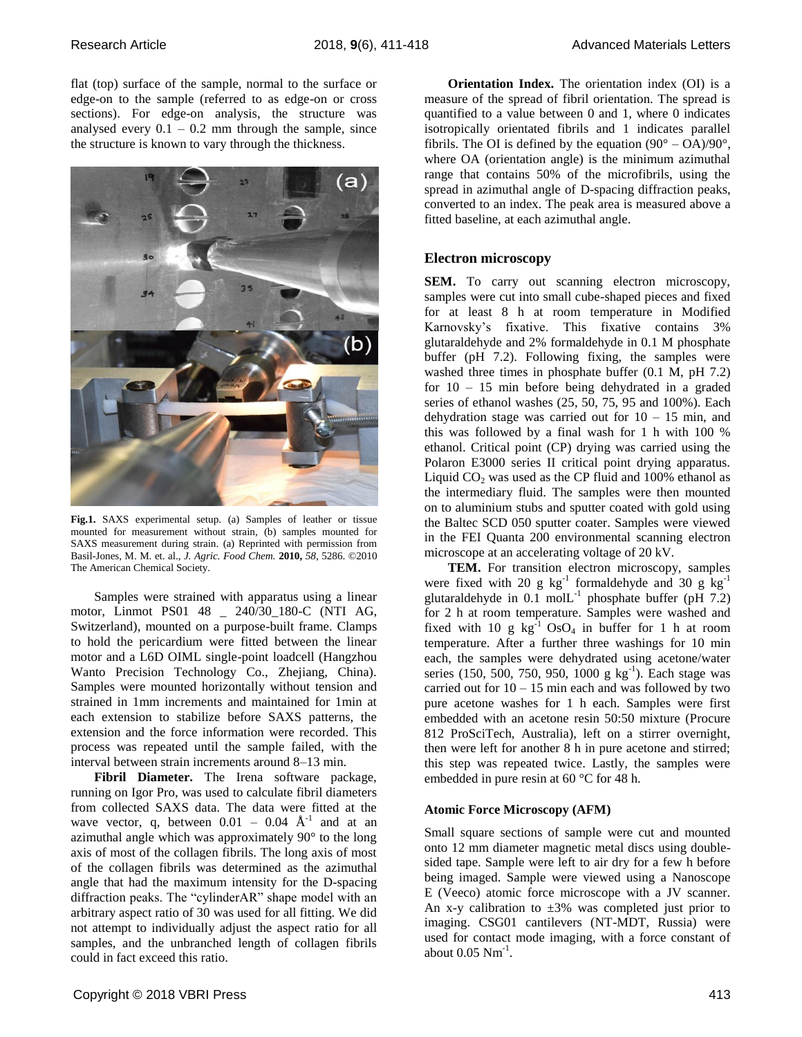flat (top) surface of the sample, normal to the surface or edge-on to the sample (referred to as edge-on or cross sections). For edge-on analysis, the structure was analysed every  $0.1 - 0.2$  mm through the sample, since the structure is known to vary through the thickness.



**Fig.1.** SAXS experimental setup. (a) Samples of leather or tissue mounted for measurement without strain, (b) samples mounted for SAXS measurement during strain. (a) Reprinted with permission from Basil-Jones, M. M. et. al., *J. Agric. Food Chem.* **2010,** *58*, 5286. ©2010 The American Chemical Society.

Samples were strained with apparatus using a linear motor, Linmot PS01 48 \_ 240/30\_180-C (NTI AG, Switzerland), mounted on a purpose-built frame. Clamps to hold the pericardium were fitted between the linear motor and a L6D OIML single-point loadcell (Hangzhou Wanto Precision Technology Co., Zhejiang, China). Samples were mounted horizontally without tension and strained in 1mm increments and maintained for 1min at each extension to stabilize before SAXS patterns, the extension and the force information were recorded. This process was repeated until the sample failed, with the interval between strain increments around 8–13 min.

**Fibril Diameter.** The Irena software package, running on Igor Pro, was used to calculate fibril diameters from collected SAXS data. The data were fitted at the wave vector, q, between  $0.01 - 0.04$   $\AA$ <sup>-1</sup> and at an azimuthal angle which was approximately 90° to the long axis of most of the collagen fibrils. The long axis of most of the collagen fibrils was determined as the azimuthal angle that had the maximum intensity for the D-spacing diffraction peaks. The "cylinderAR" shape model with an arbitrary aspect ratio of 30 was used for all fitting. We did not attempt to individually adjust the aspect ratio for all samples, and the unbranched length of collagen fibrils could in fact exceed this ratio.

**Orientation Index.** The orientation index (OI) is a measure of the spread of fibril orientation. The spread is quantified to a value between 0 and 1, where 0 indicates isotropically orientated fibrils and 1 indicates parallel fibrils. The OI is defined by the equation  $(90^{\circ} - OA)/90^{\circ}$ , where OA (orientation angle) is the minimum azimuthal range that contains 50% of the microfibrils, using the spread in azimuthal angle of D-spacing diffraction peaks, converted to an index. The peak area is measured above a fitted baseline, at each azimuthal angle.

## **Electron microscopy**

**SEM.** To carry out scanning electron microscopy, samples were cut into small cube-shaped pieces and fixed for at least 8 h at room temperature in Modified Karnovsky's fixative. This fixative contains 3% glutaraldehyde and 2% formaldehyde in 0.1 M phosphate buffer (pH 7.2). Following fixing, the samples were washed three times in phosphate buffer (0.1 M, pH 7.2) for 10 – 15 min before being dehydrated in a graded series of ethanol washes (25, 50, 75, 95 and 100%). Each dehydration stage was carried out for  $10 - 15$  min, and this was followed by a final wash for 1 h with 100 % ethanol. Critical point (CP) drying was carried using the Polaron E3000 series II critical point drying apparatus. Liquid  $CO<sub>2</sub>$  was used as the CP fluid and 100% ethanol as the intermediary fluid. The samples were then mounted on to aluminium stubs and sputter coated with gold using the Baltec SCD 050 sputter coater. Samples were viewed in the FEI Quanta 200 environmental scanning electron microscope at an accelerating voltage of 20 kV.

**TEM.** For transition electron microscopy, samples were fixed with 20 g  $kg^{-1}$  formaldehyde and 30 g  $kg^{-1}$ glutaraldehyde in  $0.1 \text{ mol}$  phosphate buffer (pH 7.2) for 2 h at room temperature. Samples were washed and fixed with 10 g  $kg^{-1}$  OsO<sub>4</sub> in buffer for 1 h at room temperature. After a further three washings for 10 min each, the samples were dehydrated using acetone/water series (150, 500, 750, 950, 1000 g kg<sup>-1</sup>). Each stage was carried out for  $10 - 15$  min each and was followed by two pure acetone washes for 1 h each. Samples were first embedded with an acetone resin 50:50 mixture (Procure 812 ProSciTech, Australia), left on a stirrer overnight, then were left for another 8 h in pure acetone and stirred; this step was repeated twice. Lastly, the samples were embedded in pure resin at 60 °C for 48 h.

## **Atomic Force Microscopy (AFM)**

Small square sections of sample were cut and mounted onto 12 mm diameter magnetic metal discs using doublesided tape. Sample were left to air dry for a few h before being imaged. Sample were viewed using a Nanoscope E (Veeco) atomic force microscope with a JV scanner. An x-y calibration to  $\pm 3\%$  was completed just prior to imaging. CSG01 cantilevers (NT-MDT, Russia) were used for contact mode imaging, with a force constant of about  $0.05$   $Nm^{-1}$ .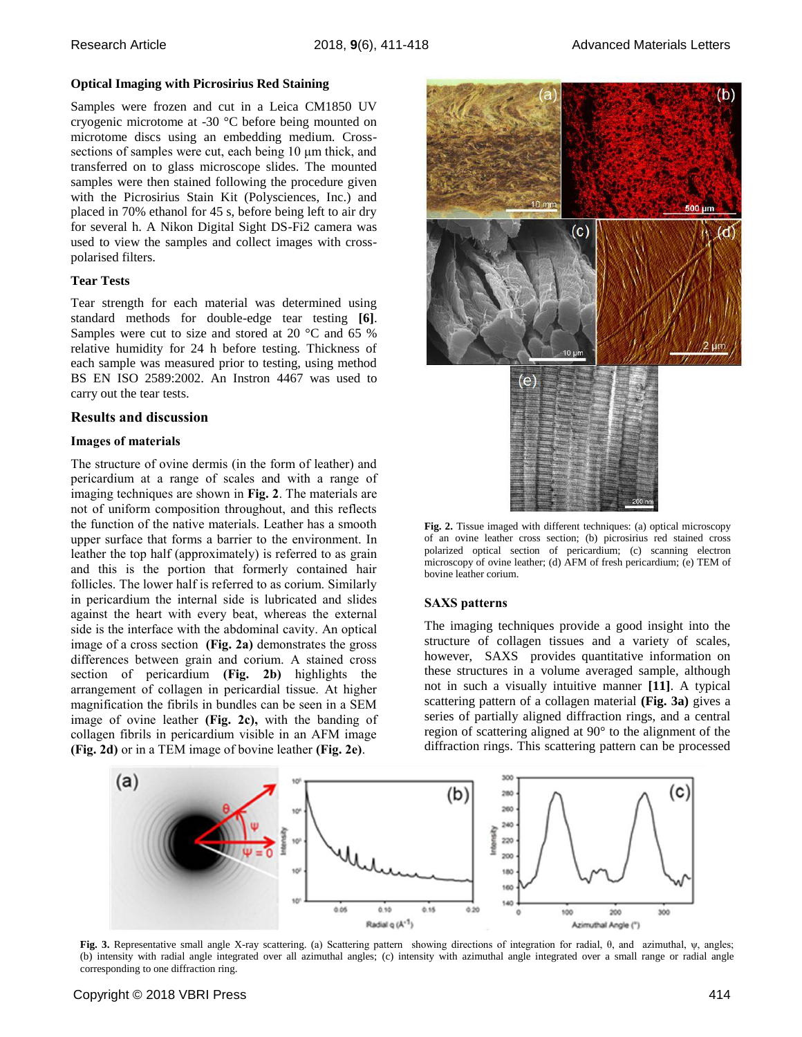#### **Optical Imaging with Picrosirius Red Staining**

Samples were frozen and cut in a Leica CM1850 UV cryogenic microtome at -30 °C before being mounted on microtome discs using an embedding medium. Crosssections of samples were cut, each being 10 μm thick, and transferred on to glass microscope slides. The mounted samples were then stained following the procedure given with the Picrosirius Stain Kit (Polysciences, Inc.) and placed in 70% ethanol for 45 s, before being left to air dry for several h. A Nikon Digital Sight DS-Fi2 camera was used to view the samples and collect images with crosspolarised filters.

### **Tear Tests**

Tear strength for each material was determined using standard methods for double-edge tear testing **[6]**. Samples were cut to size and stored at 20 °C and 65 % relative humidity for 24 h before testing. Thickness of each sample was measured prior to testing, using method BS EN ISO 2589:2002. An Instron 4467 was used to carry out the tear tests.

#### **Results and discussion**

#### **Images of materials**

The structure of ovine dermis (in the form of leather) and pericardium at a range of scales and with a range of imaging techniques are shown in **Fig. 2**. The materials are not of uniform composition throughout, and this reflects the function of the native materials. Leather has a smooth upper surface that forms a barrier to the environment. In leather the top half (approximately) is referred to as grain and this is the portion that formerly contained hair follicles. The lower half is referred to as corium. Similarly in pericardium the internal side is lubricated and slides against the heart with every beat, whereas the external side is the interface with the abdominal cavity. An optical image of a cross section **(Fig. 2a)** demonstrates the gross differences between grain and corium. A stained cross section of pericardium **(Fig. 2b)** highlights the arrangement of collagen in pericardial tissue. At higher magnification the fibrils in bundles can be seen in a SEM image of ovine leather **(Fig. 2c),** with the banding of collagen fibrils in pericardium visible in an AFM image **(Fig. 2d)** or in a TEM image of bovine leather **(Fig. 2e)**.



**Fig. 2.** Tissue imaged with different techniques: (a) optical microscopy of an ovine leather cross section; (b) picrosirius red stained cross polarized optical section of pericardium; (c) scanning electron microscopy of ovine leather; (d) AFM of fresh pericardium; (e) TEM of bovine leather corium.

#### **SAXS patterns**

The imaging techniques provide a good insight into the structure of collagen tissues and a variety of scales, however, SAXS provides quantitative information on these structures in a volume averaged sample, although not in such a visually intuitive manner **[11]**. A typical scattering pattern of a collagen material **(Fig. 3a)** gives a series of partially aligned diffraction rings, and a central region of scattering aligned at 90° to the alignment of the diffraction rings. This scattering pattern can be processed



**Fig. 3.** Representative small angle X-ray scattering. (a) Scattering pattern showing directions of integration for radial, θ, and azimuthal, ψ, angles; (b) intensity with radial angle integrated over all azimuthal angles; (c) intensity with azimuthal angle integrated over a small range or radial angle corresponding to one diffraction ring.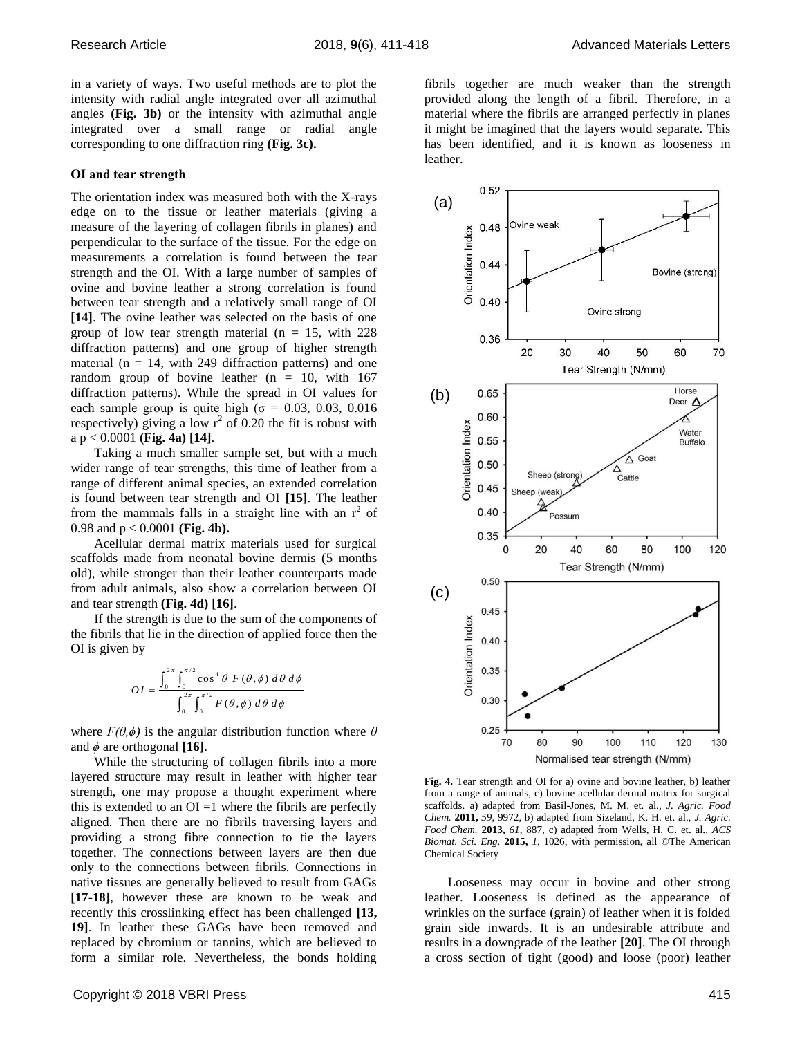in a variety of ways. Two useful methods are to plot the intensity with radial angle integrated over all azimuthal angles **(Fig. 3b)** or the intensity with azimuthal angle integrated over a small range or radial angle corresponding to one diffraction ring **(Fig. 3c).**

#### **OI and tear strength**

The orientation index was measured both with the X-rays edge on to the tissue or leather materials (giving a measure of the layering of collagen fibrils in planes) and perpendicular to the surface of the tissue. For the edge on measurements a correlation is found between the tear strength and the OI. With a large number of samples of ovine and bovine leather a strong correlation is found between tear strength and a relatively small range of OI **[14]**. The ovine leather was selected on the basis of one group of low tear strength material ( $n = 15$ , with 228 diffraction patterns) and one group of higher strength material ( $n = 14$ , with 249 diffraction patterns) and one random group of bovine leather  $(n = 10, \text{ with } 167)$ diffraction patterns). While the spread in OI values for each sample group is quite high ( $\sigma$  = 0.03, 0.03, 0.016 respectively) giving a low  $r^2$  of 0.20 the fit is robust with a p < 0.0001 **(Fig. 4a) [14]**.

Taking a much smaller sample set, but with a much wider range of tear strengths, this time of leather from a range of different animal species, an extended correlation is found between tear strength and OI **[15]**. The leather from the mammals falls in a straight line with an  $r^2$  of 0.98 and p < 0.0001 **(Fig. 4b).**

Acellular dermal matrix materials used for surgical scaffolds made from neonatal bovine dermis (5 months old), while stronger than their leather counterparts made from adult animals, also show a correlation between OI and tear strength **(Fig. 4d) [16]**.

If the strength is due to the sum of the components of the fibrils that lie in the direction of applied force then the OI is given by

$$
OI = \frac{\int_0^{2\pi} \int_0^{\pi/2} \cos^4 \theta \ F(\theta, \phi) \ d\theta \ d\phi}{\int_0^{2\pi} \int_0^{\pi/2} F(\theta, \phi) \ d\theta \ d\phi}
$$

where  $F(\theta, \phi)$  is the angular distribution function where  $\theta$ and  $\phi$  are orthogonal **[16]**.

While the structuring of collagen fibrils into a more layered structure may result in leather with higher tear strength, one may propose a thought experiment where this is extended to an  $OI = 1$  where the fibrils are perfectly aligned. Then there are no fibrils traversing layers and providing a strong fibre connection to tie the layers together. The connections between layers are then due only to the connections between fibrils. Connections in native tissues are generally believed to result from GAGs **[17-18]**, however these are known to be weak and recently this crosslinking effect has been challenged **[13, 19]**. In leather these GAGs have been removed and replaced by chromium or tannins, which are believed to form a similar role. Nevertheless, the bonds holding

fibrils together are much weaker than the strength provided along the length of a fibril. Therefore, in a material where the fibrils are arranged perfectly in planes it might be imagined that the layers would separate. This has been identified, and it is known as looseness in leather.



**Fig. 4.** Tear strength and OI for a) ovine and bovine leather, b) leather from a range of animals, c) bovine acellular dermal matrix for surgical scaffolds. a) adapted from Basil-Jones, M. M. et. al., *J. Agric. Food Chem.* **2011,** *59*, 9972, b) adapted from Sizeland, K. H. et. al., *J. Agric. Food Chem.* **2013,** *61*, 887, c) adapted from Wells, H. C. et. al., *ACS Biomat. Sci. Eng.* **2015,** *1*, 1026, with permission, all ©The American Chemical Society

Looseness may occur in bovine and other strong leather. Looseness is defined as the appearance of wrinkles on the surface (grain) of leather when it is folded grain side inwards. It is an undesirable attribute and results in a downgrade of the leather **[20]**. The OI through a cross section of tight (good) and loose (poor) leather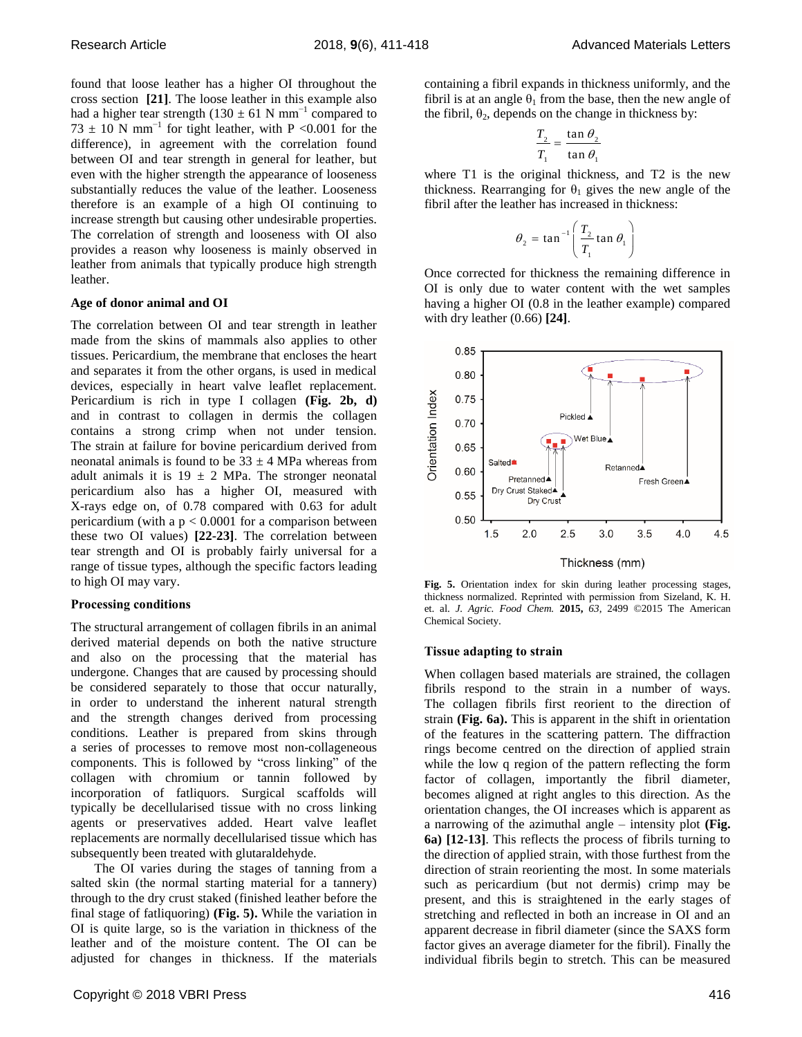found that loose leather has a higher OI throughout the cross section **[21]**. The loose leather in this example also had a higher tear strength (130  $\pm$  61 N mm<sup>-1</sup> compared to  $73 \pm 10$  N mm<sup>-1</sup> for tight leather, with P <0.001 for the difference), in agreement with the correlation found between OI and tear strength in general for leather, but even with the higher strength the appearance of looseness substantially reduces the value of the leather. Looseness therefore is an example of a high OI continuing to increase strength but causing other undesirable properties. The correlation of strength and looseness with OI also provides a reason why looseness is mainly observed in leather from animals that typically produce high strength leather.

## **Age of donor animal and OI**

The correlation between OI and tear strength in leather made from the skins of mammals also applies to other tissues. Pericardium, the membrane that encloses the heart and separates it from the other organs, is used in medical devices, especially in heart valve leaflet replacement. Pericardium is rich in type I collagen **(Fig. 2b, d)** and in contrast to collagen in dermis the collagen contains a strong crimp when not under tension. The strain at failure for bovine pericardium derived from neonatal animals is found to be  $33 \pm 4$  MPa whereas from adult animals it is  $19 \pm 2$  MPa. The stronger neonatal pericardium also has a higher OI, measured with X-rays edge on, of 0.78 compared with 0.63 for adult pericardium (with a  $p < 0.0001$  for a comparison between these two OI values) **[22-23]**. The correlation between tear strength and OI is probably fairly universal for a range of tissue types, although the specific factors leading to high OI may vary.

## **Processing conditions**

The structural arrangement of collagen fibrils in an animal derived material depends on both the native structure and also on the processing that the material has undergone. Changes that are caused by processing should be considered separately to those that occur naturally, in order to understand the inherent natural strength and the strength changes derived from processing conditions. Leather is prepared from skins through a series of processes to remove most non-collageneous components. This is followed by "cross linking" of the collagen with chromium or tannin followed by incorporation of fatliquors. Surgical scaffolds will typically be decellularised tissue with no cross linking agents or preservatives added. Heart valve leaflet replacements are normally decellularised tissue which has subsequently been treated with glutaraldehyde.

The OI varies during the stages of tanning from a salted skin (the normal starting material for a tannery) through to the dry crust staked (finished leather before the final stage of fatliquoring) **(Fig. 5).** While the variation in OI is quite large, so is the variation in thickness of the leather and of the moisture content. The OI can be adjusted for changes in thickness. If the materials containing a fibril expands in thickness uniformly, and the fibril is at an angle  $\theta_1$  from the base, then the new angle of the fibril,  $\theta_2$ , depends on the change in thickness by:

$$
\frac{T_2}{T_1} = \frac{\tan \theta_2}{\tan \theta_1}
$$

where T1 is the original thickness, and T2 is the new thickness. Rearranging for  $\theta_1$  gives the new angle of the fibril after the leather has increased in thickness:

$$
\theta_2 = \tan^{-1} \left( \frac{T_2}{T_1} \tan \theta_1 \right)
$$

Once corrected for thickness the remaining difference in OI is only due to water content with the wet samples having a higher OI (0.8 in the leather example) compared with dry leather (0.66) **[24]**.



**Fig. 5.** Orientation index for skin during leather processing stages, thickness normalized. Reprinted with permission from Sizeland, K. H. et. al. *J. Agric. Food Chem.* **2015,** *63*, 2499 ©2015 The American Chemical Society.

## **Tissue adapting to strain**

When collagen based materials are strained, the collagen fibrils respond to the strain in a number of ways. The collagen fibrils first reorient to the direction of strain **(Fig. 6a).** This is apparent in the shift in orientation of the features in the scattering pattern. The diffraction rings become centred on the direction of applied strain while the low q region of the pattern reflecting the form factor of collagen, importantly the fibril diameter, becomes aligned at right angles to this direction. As the orientation changes, the OI increases which is apparent as a narrowing of the azimuthal angle – intensity plot **(Fig. 6a) [12-13]**. This reflects the process of fibrils turning to the direction of applied strain, with those furthest from the direction of strain reorienting the most. In some materials such as pericardium (but not dermis) crimp may be present, and this is straightened in the early stages of stretching and reflected in both an increase in OI and an apparent decrease in fibril diameter (since the SAXS form factor gives an average diameter for the fibril). Finally the individual fibrils begin to stretch. This can be measured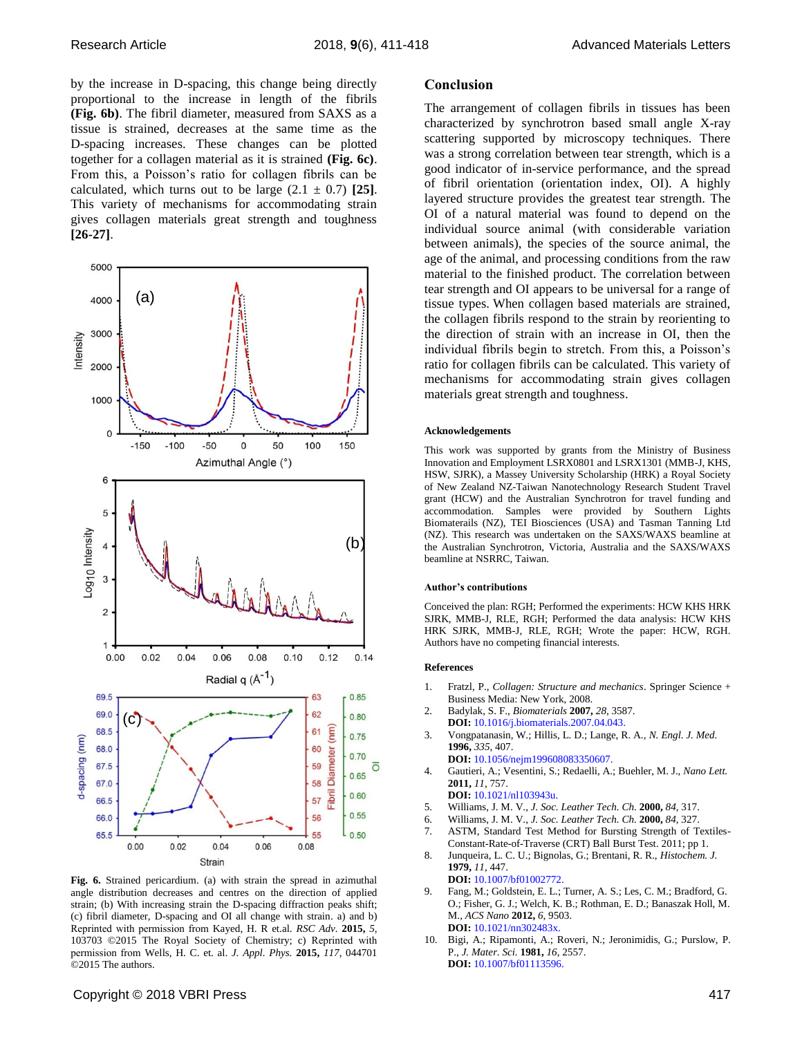by the increase in D-spacing, this change being directly proportional to the increase in length of the fibrils **(Fig. 6b)**. The fibril diameter, measured from SAXS as a tissue is strained, decreases at the same time as the D-spacing increases. These changes can be plotted together for a collagen material as it is strained **(Fig. 6c)**. From this, a Poisson's ratio for collagen fibrils can be calculated, which turns out to be large  $(2.1 \pm 0.7)$  [25]. This variety of mechanisms for accommodating strain gives collagen materials great strength and toughness **[26-27]**.



**Fig. 6.** Strained pericardium. (a) with strain the spread in azimuthal angle distribution decreases and centres on the direction of applied strain; (b) With increasing strain the D-spacing diffraction peaks shift; (c) fibril diameter, D-spacing and OI all change with strain. a) and b) Reprinted with permission from Kayed, H. R et.al. *RSC Adv.* **2015,** *5*, 103703 ©2015 The Royal Society of Chemistry; c) Reprinted with permission from Wells, H. C. et. al. *J. Appl. Phys.* **2015,** *117*, 044701 ©2015 The authors.

### **Conclusion**

The arrangement of collagen fibrils in tissues has been characterized by synchrotron based small angle X-ray scattering supported by microscopy techniques. There was a strong correlation between tear strength, which is a good indicator of in-service performance, and the spread of fibril orientation (orientation index, OI). A highly layered structure provides the greatest tear strength. The OI of a natural material was found to depend on the individual source animal (with considerable variation between animals), the species of the source animal, the age of the animal, and processing conditions from the raw material to the finished product. The correlation between tear strength and OI appears to be universal for a range of tissue types. When collagen based materials are strained, the collagen fibrils respond to the strain by reorienting to the direction of strain with an increase in OI, then the individual fibrils begin to stretch. From this, a Poisson's ratio for collagen fibrils can be calculated. This variety of mechanisms for accommodating strain gives collagen materials great strength and toughness.

#### **Acknowledgements**

This work was supported by grants from the Ministry of Business Innovation and Employment LSRX0801 and LSRX1301 (MMB-J, KHS, HSW, SJRK), a Massey University Scholarship (HRK) a Royal Society of New Zealand NZ-Taiwan Nanotechnology Research Student Travel grant (HCW) and the Australian Synchrotron for travel funding and accommodation. Samples were provided by Southern Lights Biomaterails (NZ), TEI Biosciences (USA) and Tasman Tanning Ltd (NZ). This research was undertaken on the SAXS/WAXS beamline at the Australian Synchrotron, Victoria, Australia and the SAXS/WAXS beamline at NSRRC, Taiwan.

#### **Author's contributions**

Conceived the plan: RGH; Performed the experiments: HCW KHS HRK SJRK, MMB-J, RLE, RGH; Performed the data analysis: HCW KHS HRK SJRK, MMB-J, RLE, RGH; Wrote the paper: HCW, RGH. Authors have no competing financial interests.

#### **References**

- 1. Fratzl, P., *Collagen: Structure and mechanics*. Springer Science + Business Media: New York, 2008.
- 2. Badylak, S. F., *Biomaterials* **2007,** *28*, 3587. **DOI:** 10.1016/j.biomaterials.2007.04.043.
- 3. Vongpatanasin, W.; Hillis, L. D.; Lange, R. A., *N. Engl. J. Med.*  **1996,** *335*, 407.
- **DOI:** 10.1056/nejm199608083350607.
- 4. Gautieri, A.; Vesentini, S.; Redaelli, A.; Buehler, M. J., *Nano Lett.*  **2011,** *11*, 757.
- **DOI:** 10.1021/nl103943u.
- 5. Williams, J. M. V., *J. Soc. Leather Tech. Ch.* **2000,** *84*, 317.
- 6. Williams, J. M. V., *J. Soc. Leather Tech. Ch.* **2000,** *84*, 327.
- 7. ASTM, Standard Test Method for Bursting Strength of Textiles-Constant-Rate-of-Traverse (CRT) Ball Burst Test. 2011; pp 1.
- 8. Junqueira, L. C. U.; Bignolas, G.; Brentani, R. R., *Histochem. J.*  **1979,** *11*, 447.

**DOI:** 10.1007/bf01002772.

- 9. Fang, M.; Goldstein, E. L.; Turner, A. S.; Les, C. M.; Bradford, G. O.; Fisher, G. J.; Welch, K. B.; Rothman, E. D.; Banaszak Holl, M. M., *ACS Nano* **2012,** *6*, 9503. **DOI:** 10.1021/nn302483x.
- 10. Bigi, A.; Ripamonti, A.; Roveri, N.; Jeronimidis, G.; Purslow, P. P., *J. Mater. Sci.* **1981,** *16*, 2557. **DOI:** 10.1007/bf01113596.